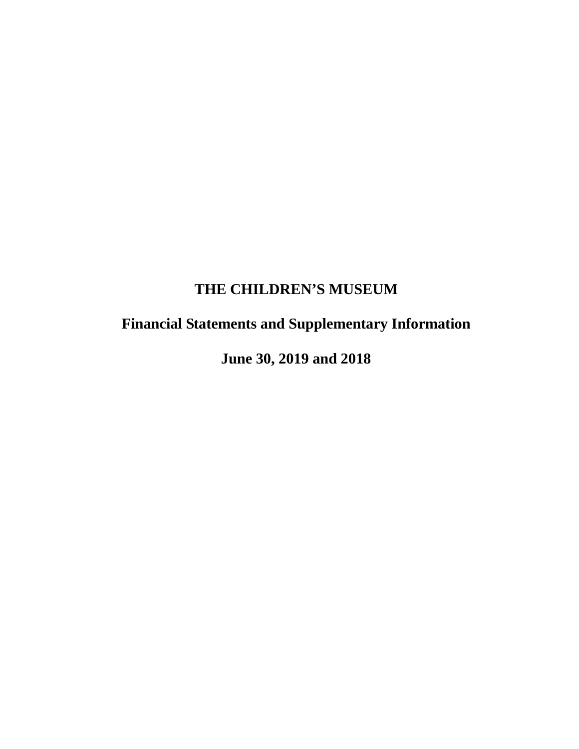# **Financial Statements and Supplementary Information**

 **June 30, 2019 and 2018**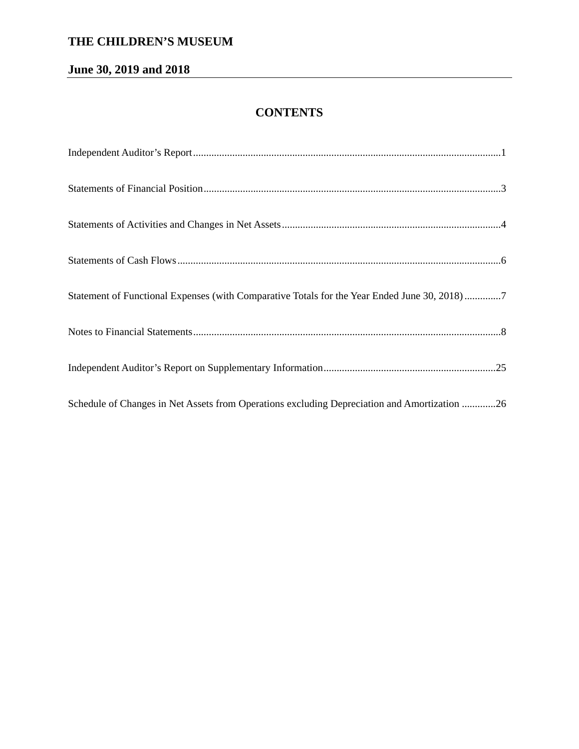# **June 30, 2019 and 2018**

# **CONTENTS**

| Statement of Functional Expenses (with Comparative Totals for the Year Ended June 30, 2018) 7 |
|-----------------------------------------------------------------------------------------------|
|                                                                                               |
|                                                                                               |
| Schedule of Changes in Net Assets from Operations excluding Depreciation and Amortization 26  |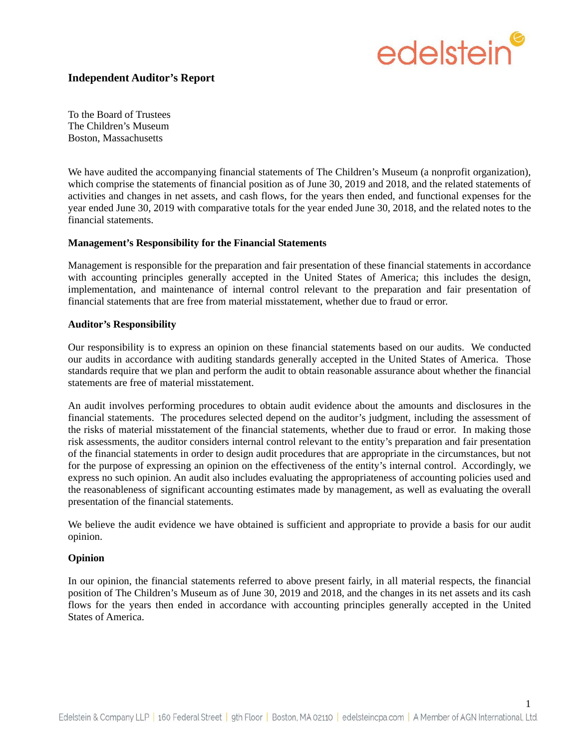

### **Independent Auditor's Report**

To the Board of Trustees The Children's Museum Boston, Massachusetts

We have audited the accompanying financial statements of The Children's Museum (a nonprofit organization), which comprise the statements of financial position as of June 30, 2019 and 2018, and the related statements of activities and changes in net assets, and cash flows, for the years then ended, and functional expenses for the year ended June 30, 2019 with comparative totals for the year ended June 30, 2018, and the related notes to the financial statements.

#### **Management's Responsibility for the Financial Statements**

Management is responsible for the preparation and fair presentation of these financial statements in accordance with accounting principles generally accepted in the United States of America; this includes the design, implementation, and maintenance of internal control relevant to the preparation and fair presentation of financial statements that are free from material misstatement, whether due to fraud or error.

#### **Auditor's Responsibility**

Our responsibility is to express an opinion on these financial statements based on our audits. We conducted our audits in accordance with auditing standards generally accepted in the United States of America. Those standards require that we plan and perform the audit to obtain reasonable assurance about whether the financial statements are free of material misstatement.

An audit involves performing procedures to obtain audit evidence about the amounts and disclosures in the financial statements. The procedures selected depend on the auditor's judgment, including the assessment of the risks of material misstatement of the financial statements, whether due to fraud or error. In making those risk assessments, the auditor considers internal control relevant to the entity's preparation and fair presentation of the financial statements in order to design audit procedures that are appropriate in the circumstances, but not for the purpose of expressing an opinion on the effectiveness of the entity's internal control. Accordingly, we express no such opinion. An audit also includes evaluating the appropriateness of accounting policies used and the reasonableness of significant accounting estimates made by management, as well as evaluating the overall presentation of the financial statements.

We believe the audit evidence we have obtained is sufficient and appropriate to provide a basis for our audit opinion.

#### **Opinion**

In our opinion, the financial statements referred to above present fairly, in all material respects, the financial position of The Children's Museum as of June 30, 2019 and 2018, and the changes in its net assets and its cash flows for the years then ended in accordance with accounting principles generally accepted in the United States of America.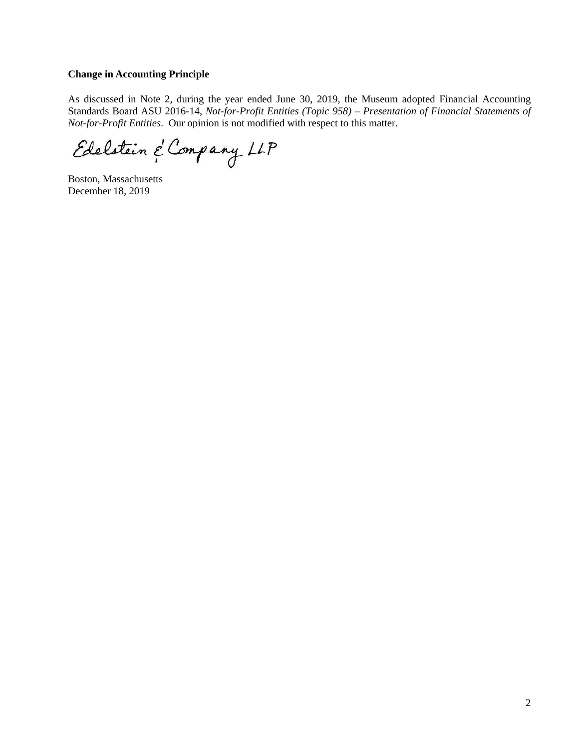#### **Change in Accounting Principle**

As discussed in Note 2, during the year ended June 30, 2019, the Museum adopted Financial Accounting Standards Board ASU 2016-14, *Not-for-Profit Entities (Topic 958) – Presentation of Financial Statements of Not-for-Profit Entities*. Our opinion is not modified with respect to this matter.

Edelstein & Company LLP

Boston, Massachusetts December 18, 2019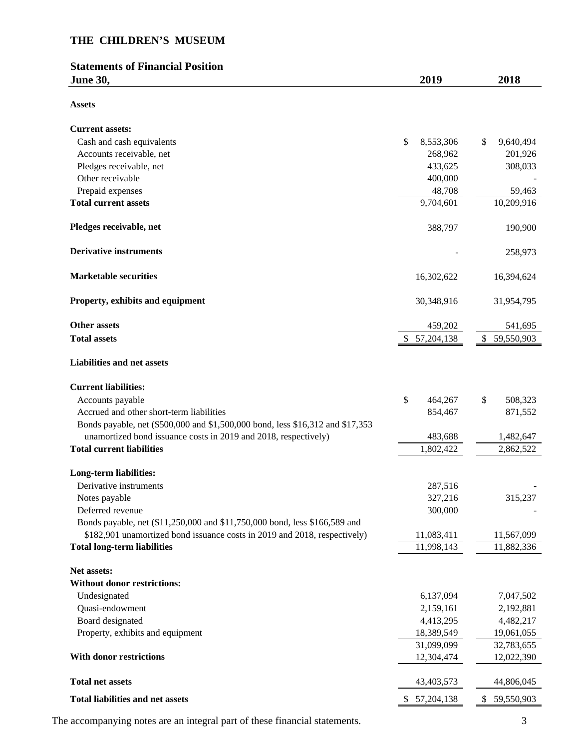# **Statements of Financial Position June 30, 2019 2018**

| ۰.<br>۰.<br>ъ<br>٩<br>۰.<br>۰, |
|--------------------------------|
|--------------------------------|

| ASSELS                                                                         |                    |                  |
|--------------------------------------------------------------------------------|--------------------|------------------|
| <b>Current assets:</b>                                                         |                    |                  |
| Cash and cash equivalents                                                      | \$<br>8,553,306    | \$<br>9,640,494  |
| Accounts receivable, net                                                       | 268,962            | 201,926          |
| Pledges receivable, net                                                        | 433,625            | 308,033          |
| Other receivable                                                               | 400,000            |                  |
| Prepaid expenses                                                               | 48,708             | 59,463           |
| <b>Total current assets</b>                                                    | 9,704,601          | 10,209,916       |
| Pledges receivable, net                                                        | 388,797            | 190,900          |
| <b>Derivative instruments</b>                                                  |                    | 258,973          |
| <b>Marketable securities</b>                                                   | 16,302,622         | 16,394,624       |
| Property, exhibits and equipment                                               | 30,348,916         | 31,954,795       |
| <b>Other assets</b>                                                            | 459,202            | 541,695          |
| <b>Total assets</b>                                                            | \$57,204,138       | \$59,550,903     |
| <b>Liabilities and net assets</b>                                              |                    |                  |
| <b>Current liabilities:</b>                                                    |                    |                  |
| Accounts payable                                                               | \$<br>464,267      | \$<br>508,323    |
| Accrued and other short-term liabilities                                       | 854,467            | 871,552          |
| Bonds payable, net (\$500,000 and \$1,500,000 bond, less \$16,312 and \$17,353 |                    |                  |
| unamortized bond issuance costs in 2019 and 2018, respectively)                | 483,688            | 1,482,647        |
| <b>Total current liabilities</b>                                               | 1,802,422          | 2,862,522        |
| <b>Long-term liabilities:</b>                                                  |                    |                  |
| Derivative instruments                                                         | 287,516            |                  |
| Notes payable                                                                  | 327,216            | 315,237          |
| Deferred revenue                                                               | 300,000            |                  |
| Bonds payable, net (\$11,250,000 and \$11,750,000 bond, less \$166,589 and     |                    |                  |
| \$182,901 unamortized bond issuance costs in 2019 and 2018, respectively)      | 11,083,411         | 11,567,099       |
| <b>Total long-term liabilities</b>                                             | 11,998,143         | 11,882,336       |
| Net assets:                                                                    |                    |                  |
| Without donor restrictions:                                                    |                    |                  |
| Undesignated                                                                   | 6,137,094          | 7,047,502        |
| Quasi-endowment                                                                | 2,159,161          | 2,192,881        |
| Board designated                                                               | 4,413,295          | 4,482,217        |
| Property, exhibits and equipment                                               | 18,389,549         | 19,061,055       |
|                                                                                | 31,099,099         | 32,783,655       |
| With donor restrictions                                                        | 12,304,474         | 12,022,390       |
| <b>Total net assets</b>                                                        | 43,403,573         | 44,806,045       |
| <b>Total liabilities and net assets</b>                                        | \$<br>57, 204, 138 | \$<br>59,550,903 |

The accompanying notes are an integral part of these financial statements. 3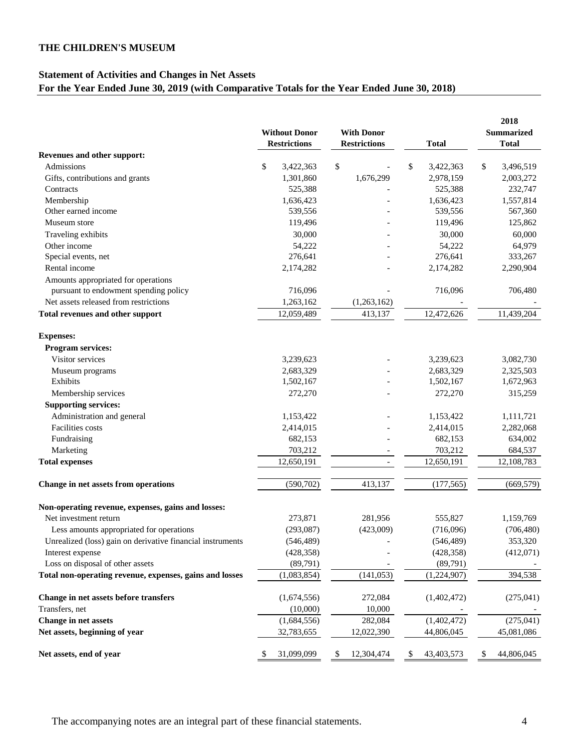### **Statement of Activities and Changes in Net Assets For the Year Ended June 30, 2019 (with Comparative Totals for the Year Ended June 30, 2018)**

|                                                            |                      |                     |                 | 2018              |  |  |
|------------------------------------------------------------|----------------------|---------------------|-----------------|-------------------|--|--|
|                                                            | <b>Without Donor</b> | <b>With Donor</b>   |                 | <b>Summarized</b> |  |  |
|                                                            | <b>Restrictions</b>  | <b>Restrictions</b> | <b>Total</b>    | <b>Total</b>      |  |  |
| Revenues and other support:                                |                      |                     |                 |                   |  |  |
| Admissions                                                 | \$<br>3,422,363      | \$                  | \$<br>3,422,363 | \$<br>3,496,519   |  |  |
| Gifts, contributions and grants                            | 1,301,860            | 1,676,299           | 2,978,159       | 2,003,272         |  |  |
| Contracts                                                  | 525,388              |                     | 525,388         | 232,747           |  |  |
| Membership                                                 | 1,636,423            |                     | 1,636,423       | 1,557,814         |  |  |
| Other earned income                                        | 539,556              |                     | 539,556         | 567,360           |  |  |
| Museum store                                               | 119,496              |                     | 119,496         | 125,862           |  |  |
| Traveling exhibits                                         | 30,000               |                     | 30,000          | 60,000            |  |  |
| Other income                                               | 54,222               |                     | 54,222          | 64,979            |  |  |
| Special events, net                                        | 276,641              |                     | 276,641         | 333,267           |  |  |
| Rental income                                              | 2,174,282            |                     | 2,174,282       | 2,290,904         |  |  |
| Amounts appropriated for operations                        |                      |                     |                 |                   |  |  |
| pursuant to endowment spending policy                      | 716,096              |                     | 716,096         | 706,480           |  |  |
| Net assets released from restrictions                      | 1,263,162            | (1,263,162)         |                 |                   |  |  |
| Total revenues and other support                           | 12,059,489           | 413,137             | 12,472,626      | 11,439,204        |  |  |
| <b>Expenses:</b>                                           |                      |                     |                 |                   |  |  |
| <b>Program services:</b>                                   |                      |                     |                 |                   |  |  |
| Visitor services                                           | 3,239,623            |                     | 3,239,623       | 3,082,730         |  |  |
| Museum programs                                            | 2,683,329            |                     | 2,683,329       | 2,325,503         |  |  |
| Exhibits                                                   | 1,502,167            |                     | 1,502,167       | 1,672,963         |  |  |
| Membership services                                        | 272,270              |                     | 272,270         | 315,259           |  |  |
| <b>Supporting services:</b>                                |                      |                     |                 |                   |  |  |
| Administration and general                                 | 1,153,422            |                     | 1,153,422       | 1,111,721         |  |  |
| Facilities costs                                           | 2,414,015            |                     | 2,414,015       | 2,282,068         |  |  |
| Fundraising                                                | 682,153              |                     | 682,153         | 634,002           |  |  |
| Marketing                                                  | 703,212              |                     | 703,212         | 684,537           |  |  |
| <b>Total expenses</b>                                      | 12,650,191           |                     | 12,650,191      | 12,108,783        |  |  |
|                                                            |                      |                     |                 |                   |  |  |
| Change in net assets from operations                       | (590, 702)           | 413,137             | (177, 565)      | (669, 579)        |  |  |
| Non-operating revenue, expenses, gains and losses:         |                      |                     |                 |                   |  |  |
| Net investment return                                      | 273,871              | 281,956             | 555,827         | 1,159,769         |  |  |
| Less amounts appropriated for operations                   | (293,087)            | (423,009)           | (716,096)       | (706, 480)        |  |  |
| Unrealized (loss) gain on derivative financial instruments | (546, 489)           |                     | (546, 489)      | 353,320           |  |  |
| Interest expense                                           | (428, 358)           |                     | (428, 358)      | (412,071)         |  |  |
| Loss on disposal of other assets                           | (89,791)             |                     | (89,791)        |                   |  |  |
| Total non-operating revenue, expenses, gains and losses    | (1,083,854)          | (141, 053)          | (1,224,907)     | 394,538           |  |  |
| Change in net assets before transfers                      | (1,674,556)          | 272,084             | (1,402,472)     | (275,041)         |  |  |
| Transfers, net                                             | (10,000)             | 10,000              |                 |                   |  |  |
| Change in net assets                                       | (1,684,556)          | 282,084             | (1,402,472)     | (275, 041)        |  |  |
| Net assets, beginning of year                              | 32,783,655           | 12,022,390          | 44,806,045      | 45,081,086        |  |  |
| Net assets, end of year                                    |                      |                     |                 |                   |  |  |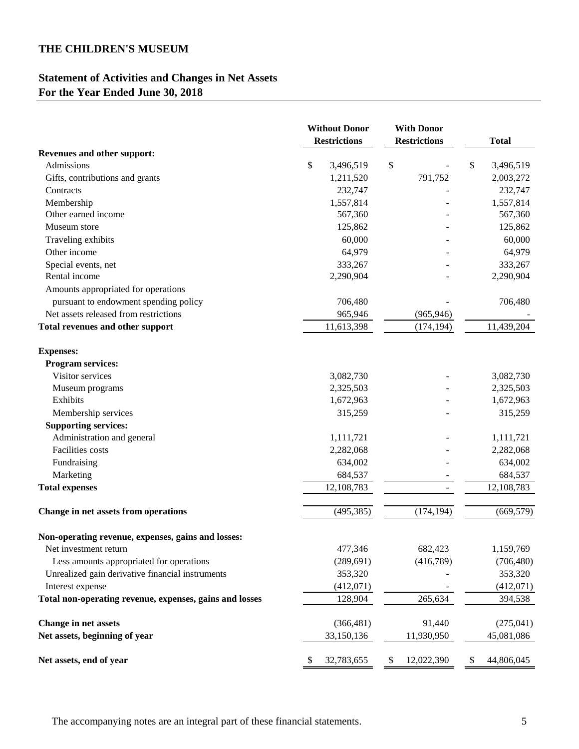# **Statement of Activities and Changes in Net Assets For the Year Ended June 30, 2018**

|                                                         | <b>Without Donor</b><br><b>Restrictions</b> | <b>With Donor</b><br><b>Restrictions</b> | <b>Total</b>     |
|---------------------------------------------------------|---------------------------------------------|------------------------------------------|------------------|
| Revenues and other support:                             |                                             |                                          |                  |
| Admissions                                              | \$<br>3,496,519                             | \$                                       | \$<br>3,496,519  |
| Gifts, contributions and grants                         | 1,211,520                                   | 791,752                                  | 2,003,272        |
| Contracts                                               | 232,747                                     |                                          | 232,747          |
| Membership                                              | 1,557,814                                   |                                          | 1,557,814        |
| Other earned income                                     | 567,360                                     |                                          | 567,360          |
| Museum store                                            | 125,862                                     |                                          | 125,862          |
| Traveling exhibits                                      | 60,000                                      |                                          | 60,000           |
| Other income                                            | 64,979                                      |                                          | 64,979           |
| Special events, net                                     | 333,267                                     |                                          | 333,267          |
| Rental income                                           | 2,290,904                                   |                                          | 2,290,904        |
| Amounts appropriated for operations                     |                                             |                                          |                  |
| pursuant to endowment spending policy                   | 706,480                                     |                                          | 706,480          |
| Net assets released from restrictions                   | 965,946                                     | (965, 946)                               |                  |
| Total revenues and other support                        | 11,613,398                                  | (174, 194)                               | 11,439,204       |
| <b>Expenses:</b>                                        |                                             |                                          |                  |
| <b>Program services:</b>                                |                                             |                                          |                  |
| Visitor services                                        | 3,082,730                                   |                                          | 3,082,730        |
| Museum programs                                         | 2,325,503                                   |                                          | 2,325,503        |
| Exhibits                                                | 1,672,963                                   |                                          | 1,672,963        |
| Membership services                                     | 315,259                                     |                                          | 315,259          |
| <b>Supporting services:</b>                             |                                             |                                          |                  |
| Administration and general                              | 1,111,721                                   |                                          | 1,111,721        |
| Facilities costs                                        | 2,282,068                                   |                                          | 2,282,068        |
| Fundraising                                             | 634,002                                     |                                          | 634,002          |
| Marketing                                               | 684,537                                     |                                          | 684,537          |
| <b>Total expenses</b>                                   | 12,108,783                                  |                                          | 12,108,783       |
| Change in net assets from operations                    | (495, 385)                                  | (174, 194)                               | (669, 579)       |
|                                                         |                                             |                                          |                  |
| Non-operating revenue, expenses, gains and losses:      |                                             |                                          |                  |
| Net investment return                                   | 477,346                                     | 682,423                                  | 1,159,769        |
| Less amounts appropriated for operations                | (289, 691)                                  | (416,789)                                | (706, 480)       |
| Unrealized gain derivative financial instruments        | 353,320                                     |                                          | 353,320          |
| Interest expense                                        | (412,071)                                   |                                          | (412,071)        |
| Total non-operating revenue, expenses, gains and losses | 128,904                                     | 265,634                                  | 394,538          |
| <b>Change in net assets</b>                             | (366, 481)                                  | 91,440                                   | (275,041)        |
| Net assets, beginning of year                           | 33,150,136                                  | 11,930,950                               | 45,081,086       |
| Net assets, end of year                                 | 32,783,655<br>\$                            | \$<br>12,022,390                         | 44,806,045<br>\$ |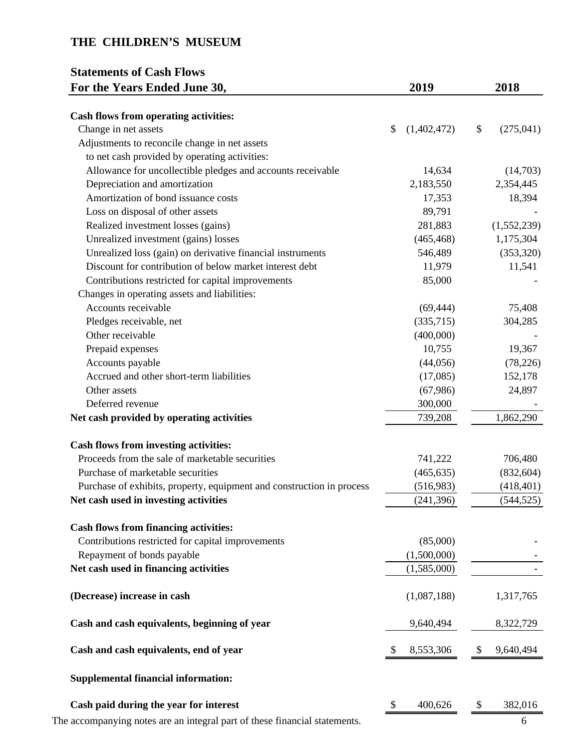# **Statements of Cash Flows For the Years Ended June 30, 2019** 2018

| Cash flows from operating activities:                                 |              |             |                  |
|-----------------------------------------------------------------------|--------------|-------------|------------------|
| Change in net assets                                                  | \$           | (1,402,472) | \$<br>(275, 041) |
| Adjustments to reconcile change in net assets                         |              |             |                  |
| to net cash provided by operating activities:                         |              |             |                  |
| Allowance for uncollectible pledges and accounts receivable           |              | 14,634      | (14,703)         |
| Depreciation and amortization                                         |              | 2,183,550   | 2,354,445        |
| Amortization of bond issuance costs                                   |              | 17,353      | 18,394           |
| Loss on disposal of other assets                                      |              | 89,791      |                  |
| Realized investment losses (gains)                                    |              | 281,883     | (1,552,239)      |
| Unrealized investment (gains) losses                                  |              | (465, 468)  | 1,175,304        |
| Unrealized loss (gain) on derivative financial instruments            |              | 546,489     | (353,320)        |
| Discount for contribution of below market interest debt               |              | 11,979      | 11,541           |
| Contributions restricted for capital improvements                     |              | 85,000      |                  |
| Changes in operating assets and liabilities:                          |              |             |                  |
| Accounts receivable                                                   |              | (69, 444)   | 75,408           |
| Pledges receivable, net                                               |              | (335,715)   | 304,285          |
| Other receivable                                                      |              | (400,000)   |                  |
| Prepaid expenses                                                      |              | 10,755      | 19,367           |
| Accounts payable                                                      |              | (44, 056)   | (78, 226)        |
| Accrued and other short-term liabilities                              |              | (17,085)    | 152,178          |
| Other assets                                                          |              | (67,986)    | 24,897           |
| Deferred revenue                                                      |              | 300,000     |                  |
| Net cash provided by operating activities                             |              | 739,208     | 1,862,290        |
| <b>Cash flows from investing activities:</b>                          |              |             |                  |
| Proceeds from the sale of marketable securities                       |              | 741,222     | 706,480          |
| Purchase of marketable securities                                     |              | (465, 635)  | (832, 604)       |
| Purchase of exhibits, property, equipment and construction in process |              | (516,983)   | (418, 401)       |
| Net cash used in investing activities                                 |              | (241, 396)  | (544, 525)       |
| <b>Cash flows from financing activities:</b>                          |              |             |                  |
| Contributions restricted for capital improvements                     |              | (85,000)    |                  |
| Repayment of bonds payable                                            |              | (1,500,000) |                  |
| Net cash used in financing activities                                 |              | (1,585,000) |                  |
| (Decrease) increase in cash                                           |              | (1,087,188) | 1,317,765        |
| Cash and cash equivalents, beginning of year                          |              | 9,640,494   | 8,322,729        |
| Cash and cash equivalents, end of year                                | <sup>2</sup> | 8,553,306   | \$<br>9,640,494  |
| <b>Supplemental financial information:</b>                            |              |             |                  |
| Cash paid during the year for interest                                | \$           | 400,626     | \$<br>382,016    |
|                                                                       |              |             |                  |

The accompanying notes are an integral part of these financial statements.  $\overline{\hspace{1cm}}$  6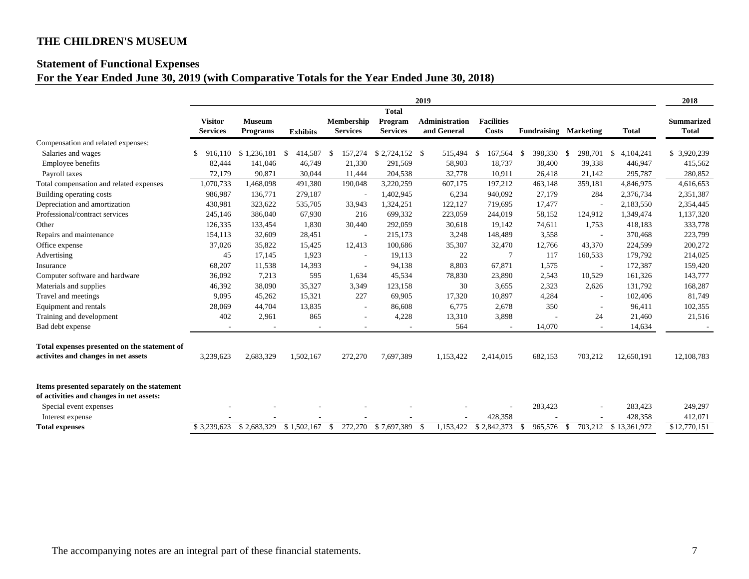### **Statement of Functional Expenses**

# **For the Year Ended June 30, 2019 (with Comparative Totals for the Year Ended June 30, 2018)**

|                                                                                         | 2019            |                         |                 |                          |                         |      |                       |                   |                              | 2018           |                      |                   |
|-----------------------------------------------------------------------------------------|-----------------|-------------------------|-----------------|--------------------------|-------------------------|------|-----------------------|-------------------|------------------------------|----------------|----------------------|-------------------|
|                                                                                         | <b>Visitor</b>  | <b>Museum</b>           |                 | Membership               | <b>Total</b><br>Program |      | <b>Administration</b> | <b>Facilities</b> |                              |                |                      | <b>Summarized</b> |
|                                                                                         | <b>Services</b> | <b>Programs</b>         | <b>Exhibits</b> | <b>Services</b>          | <b>Services</b>         |      | and General           | Costs             | <b>Fundraising Marketing</b> |                | <b>Total</b>         | <b>Total</b>      |
| Compensation and related expenses:                                                      |                 |                         |                 |                          |                         |      |                       |                   |                              |                |                      |                   |
| Salaries and wages                                                                      | 916.110         | \$1.236.181             | 414,587<br>-\$  | 157,274<br>-S            | $$2,724,152$ \ \$       |      | 515,494               | 167,564 \$<br>-\$ | 398,330                      | 298,701<br>-\$ | 4,104,241<br>-\$     | \$3,920,239       |
| Employee benefits                                                                       | 82,444          | 141,046                 | 46,749          | 21,330                   | 291,569                 |      | 58,903                | 18,737            | 38,400                       | 39,338         | 446,947              | 415,562           |
| Payroll taxes                                                                           | 72.179          | 90.871                  | 30.044          | 11,444                   | 204,538                 |      | 32,778                | 10,911            | 26,418                       | 21,142         | 295,787              | 280,852           |
| Total compensation and related expenses                                                 | 1,070,733       | 1,468,098               | 491,380         | 190,048                  | 3,220,259               |      | 607,175               | 197,212           | 463,148                      | 359,181        | 4,846,975            | 4,616,653         |
| Building operating costs                                                                | 986,987         | 136,771                 | 279,187         | $\overline{\phantom{a}}$ | 1,402,945               |      | 6,234                 | 940,092           | 27,179                       | 284            | 2,376,734            | 2,351,387         |
| Depreciation and amortization                                                           | 430.981         | 323,622                 | 535,705         | 33.943                   | 1,324,251               |      | 122,127               | 719.695           | 17,477                       | $\sim$         | 2.183.550            | 2,354,445         |
| Professional/contract services                                                          | 245,146         | 386,040                 | 67,930          | 216                      | 699,332                 |      | 223,059               | 244,019           | 58,152                       | 124,912        | 1,349,474            | 1,137,320         |
| Other                                                                                   | 126,335         | 133,454                 | 1,830           | 30,440                   | 292,059                 |      | 30,618                | 19,142            | 74,611                       | 1,753          | 418,183              | 333,778           |
| Repairs and maintenance                                                                 | 154,113         | 32,609                  | 28,451          | $\sim$                   | 215,173                 |      | 3,248                 | 148,489           | 3,558                        | $\sim$         | 370,468              | 223,799           |
| Office expense                                                                          | 37,026          | 35,822                  | 15,425          | 12,413                   | 100,686                 |      | 35,307                | 32,470            | 12,766                       | 43,370         | 224,599              | 200,272           |
| Advertising                                                                             | 45              | 17,145                  | 1,923           | ÷                        | 19,113                  |      | 22                    | $\overline{7}$    | 117                          | 160,533        | 179,792              | 214,025           |
| Insurance                                                                               | 68,207          | 11,538                  | 14,393          | ÷,                       | 94,138                  |      | 8,803                 | 67,871            | 1,575                        | $\sim$         | 172,387              | 159,420           |
| Computer software and hardware                                                          | 36,092          | 7,213                   | 595             | 1,634                    | 45,534                  |      | 78,830                | 23,890            | 2,543                        | 10,529         | 161,326              | 143,777           |
| Materials and supplies                                                                  | 46,392          | 38,090                  | 35,327          | 3,349                    | 123,158                 |      | 30                    | 3,655             | 2,323                        | 2,626          | 131,792              | 168,287           |
| Travel and meetings                                                                     | 9,095           | 45,262                  | 15,321          | 227                      | 69,905                  |      | 17,320                | 10,897            | 4,284                        | $\sim$         | 102,406              | 81,749            |
| Equipment and rentals                                                                   | 28,069          | 44,704                  | 13,835          | $\sim$                   | 86,608                  |      | 6,775                 | 2,678             | 350                          |                | 96,411               | 102,355           |
| Training and development                                                                | 402             | 2,961                   | 865             | ÷,                       | 4,228                   |      | 13,310                | 3,898             |                              | 24             | 21,460               | 21,516            |
| Bad debt expense                                                                        |                 |                         |                 |                          |                         |      | 564                   |                   | 14,070                       |                | 14,634               |                   |
| Total expenses presented on the statement of                                            |                 |                         |                 |                          |                         |      |                       |                   |                              |                |                      |                   |
| activites and changes in net assets                                                     | 3,239,623       | 2,683,329               | 1,502,167       | 272,270                  | 7,697,389               |      | 1.153.422             | 2,414,015         | 682,153                      | 703,212        | 12,650,191           | 12,108,783        |
|                                                                                         |                 |                         |                 |                          |                         |      |                       |                   |                              |                |                      |                   |
| Items presented separately on the statement<br>of activities and changes in net assets: |                 |                         |                 |                          |                         |      |                       |                   |                              |                |                      |                   |
| Special event expenses                                                                  |                 |                         |                 |                          |                         |      |                       |                   | 283,423                      |                | 283,423              | 249,297           |
| Interest expense                                                                        |                 |                         |                 |                          |                         |      |                       | 428,358           |                              |                | 428,358              | 412.071           |
| <b>Total expenses</b>                                                                   |                 | \$3,239,623 \$2,683,329 | \$1,502,167     | 272,270<br>-\$           | \$7,697,389             | - \$ | 1,153,422             | \$2,842,373       | 965,576<br>$\mathbf{s}$      | - \$           | 703,212 \$13,361,972 | \$12,770,151      |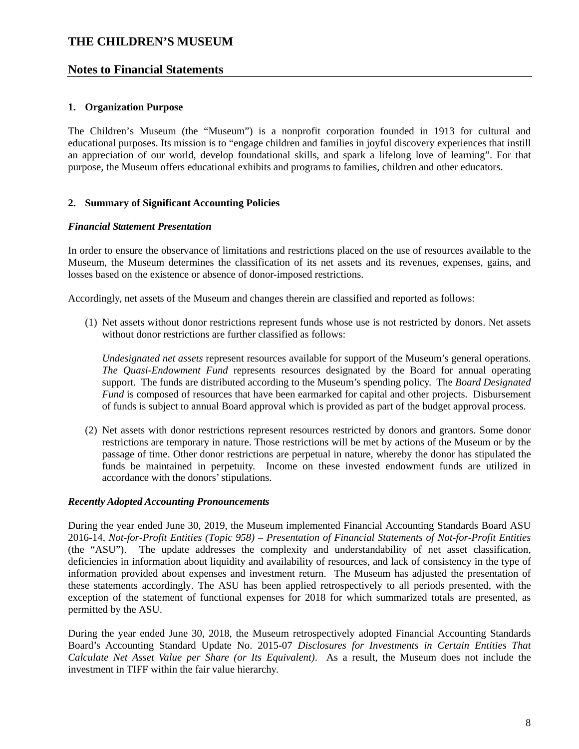### **Notes to Financial Statements**

#### **1. Organization Purpose**

The Children's Museum (the "Museum") is a nonprofit corporation founded in 1913 for cultural and educational purposes. Its mission is to "engage children and families in joyful discovery experiences that instill an appreciation of our world, develop foundational skills, and spark a lifelong love of learning". For that purpose, the Museum offers educational exhibits and programs to families, children and other educators.

#### **2. Summary of Significant Accounting Policies**

#### *Financial Statement Presentation*

In order to ensure the observance of limitations and restrictions placed on the use of resources available to the Museum, the Museum determines the classification of its net assets and its revenues, expenses, gains, and losses based on the existence or absence of donor-imposed restrictions.

Accordingly, net assets of the Museum and changes therein are classified and reported as follows:

(1) Net assets without donor restrictions represent funds whose use is not restricted by donors. Net assets without donor restrictions are further classified as follows:

*Undesignated net assets* represent resources available for support of the Museum's general operations. *The Quasi-Endowment Fund* represents resources designated by the Board for annual operating support. The funds are distributed according to the Museum's spending policy. The *Board Designated Fund* is composed of resources that have been earmarked for capital and other projects. Disbursement of funds is subject to annual Board approval which is provided as part of the budget approval process.

(2) Net assets with donor restrictions represent resources restricted by donors and grantors. Some donor restrictions are temporary in nature. Those restrictions will be met by actions of the Museum or by the passage of time. Other donor restrictions are perpetual in nature, whereby the donor has stipulated the funds be maintained in perpetuity. Income on these invested endowment funds are utilized in accordance with the donors' stipulations.

#### *Recently Adopted Accounting Pronouncements*

During the year ended June 30, 2019, the Museum implemented Financial Accounting Standards Board ASU 2016-14, *Not-for-Profit Entities (Topic 958) – Presentation of Financial Statements of Not-for-Profit Entities* (the "ASU"). The update addresses the complexity and understandability of net asset classification, deficiencies in information about liquidity and availability of resources, and lack of consistency in the type of information provided about expenses and investment return. The Museum has adjusted the presentation of these statements accordingly. The ASU has been applied retrospectively to all periods presented, with the exception of the statement of functional expenses for 2018 for which summarized totals are presented, as permitted by the ASU.

During the year ended June 30, 2018, the Museum retrospectively adopted Financial Accounting Standards Board's Accounting Standard Update No. 2015-07 *Disclosures for Investments in Certain Entities That Calculate Net Asset Value per Share (or Its Equivalent)*. As a result, the Museum does not include the investment in TIFF within the fair value hierarchy.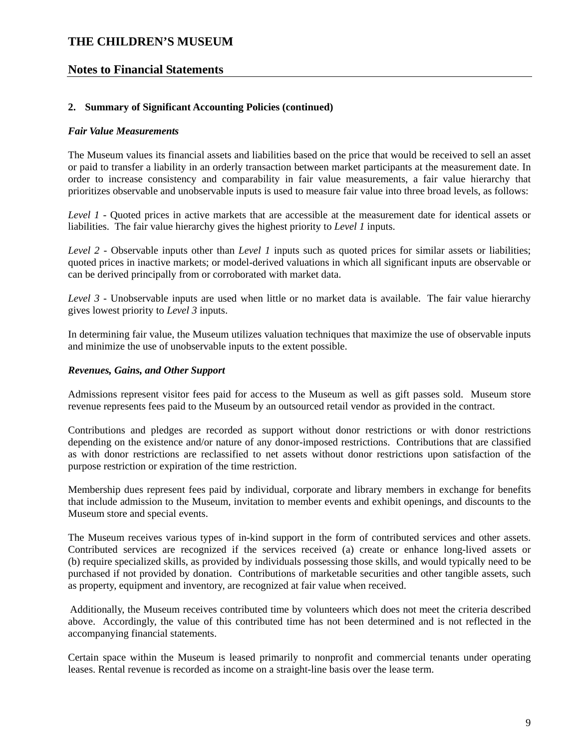### **Notes to Financial Statements**

#### **2. Summary of Significant Accounting Policies (continued)**

#### *Fair Value Measurements*

The Museum values its financial assets and liabilities based on the price that would be received to sell an asset or paid to transfer a liability in an orderly transaction between market participants at the measurement date. In order to increase consistency and comparability in fair value measurements, a fair value hierarchy that prioritizes observable and unobservable inputs is used to measure fair value into three broad levels, as follows:

*Level 1 -* Quoted prices in active markets that are accessible at the measurement date for identical assets or liabilities. The fair value hierarchy gives the highest priority to *Level 1* inputs.

*Level 2* - Observable inputs other than *Level 1* inputs such as quoted prices for similar assets or liabilities; quoted prices in inactive markets; or model-derived valuations in which all significant inputs are observable or can be derived principally from or corroborated with market data.

*Level 3 -* Unobservable inputs are used when little or no market data is available. The fair value hierarchy gives lowest priority to *Level 3* inputs.

In determining fair value, the Museum utilizes valuation techniques that maximize the use of observable inputs and minimize the use of unobservable inputs to the extent possible.

#### *Revenues, Gains, and Other Support*

Admissions represent visitor fees paid for access to the Museum as well as gift passes sold. Museum store revenue represents fees paid to the Museum by an outsourced retail vendor as provided in the contract.

Contributions and pledges are recorded as support without donor restrictions or with donor restrictions depending on the existence and/or nature of any donor-imposed restrictions. Contributions that are classified as with donor restrictions are reclassified to net assets without donor restrictions upon satisfaction of the purpose restriction or expiration of the time restriction.

Membership dues represent fees paid by individual, corporate and library members in exchange for benefits that include admission to the Museum, invitation to member events and exhibit openings, and discounts to the Museum store and special events.

The Museum receives various types of in-kind support in the form of contributed services and other assets. Contributed services are recognized if the services received (a) create or enhance long-lived assets or (b) require specialized skills, as provided by individuals possessing those skills, and would typically need to be purchased if not provided by donation. Contributions of marketable securities and other tangible assets, such as property, equipment and inventory, are recognized at fair value when received.

 Additionally, the Museum receives contributed time by volunteers which does not meet the criteria described above. Accordingly, the value of this contributed time has not been determined and is not reflected in the accompanying financial statements.

Certain space within the Museum is leased primarily to nonprofit and commercial tenants under operating leases. Rental revenue is recorded as income on a straight-line basis over the lease term.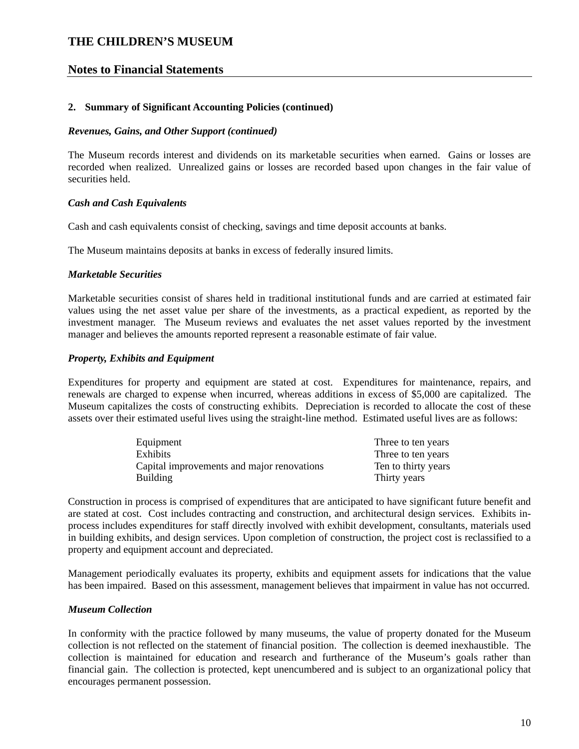### **Notes to Financial Statements**

#### **2. Summary of Significant Accounting Policies (continued)**

#### *Revenues, Gains, and Other Support (continued)*

The Museum records interest and dividends on its marketable securities when earned. Gains or losses are recorded when realized. Unrealized gains or losses are recorded based upon changes in the fair value of securities held.

#### *Cash and Cash Equivalents*

Cash and cash equivalents consist of checking, savings and time deposit accounts at banks.

The Museum maintains deposits at banks in excess of federally insured limits.

#### *Marketable Securities*

Marketable securities consist of shares held in traditional institutional funds and are carried at estimated fair values using the net asset value per share of the investments, as a practical expedient, as reported by the investment manager. The Museum reviews and evaluates the net asset values reported by the investment manager and believes the amounts reported represent a reasonable estimate of fair value.

#### *Property, Exhibits and Equipment*

Expenditures for property and equipment are stated at cost. Expenditures for maintenance, repairs, and renewals are charged to expense when incurred, whereas additions in excess of \$5,000 are capitalized. The Museum capitalizes the costs of constructing exhibits. Depreciation is recorded to allocate the cost of these assets over their estimated useful lives using the straight-line method. Estimated useful lives are as follows:

| Equipment                                  | Three to ten years  |
|--------------------------------------------|---------------------|
| <b>Exhibits</b>                            | Three to ten years  |
| Capital improvements and major renovations | Ten to thirty years |
| <b>Building</b>                            | Thirty years        |

Construction in process is comprised of expenditures that are anticipated to have significant future benefit and are stated at cost. Cost includes contracting and construction, and architectural design services. Exhibits inprocess includes expenditures for staff directly involved with exhibit development, consultants, materials used in building exhibits, and design services. Upon completion of construction, the project cost is reclassified to a property and equipment account and depreciated.

Management periodically evaluates its property, exhibits and equipment assets for indications that the value has been impaired. Based on this assessment, management believes that impairment in value has not occurred.

#### *Museum Collection*

In conformity with the practice followed by many museums, the value of property donated for the Museum collection is not reflected on the statement of financial position. The collection is deemed inexhaustible. The collection is maintained for education and research and furtherance of the Museum's goals rather than financial gain. The collection is protected, kept unencumbered and is subject to an organizational policy that encourages permanent possession.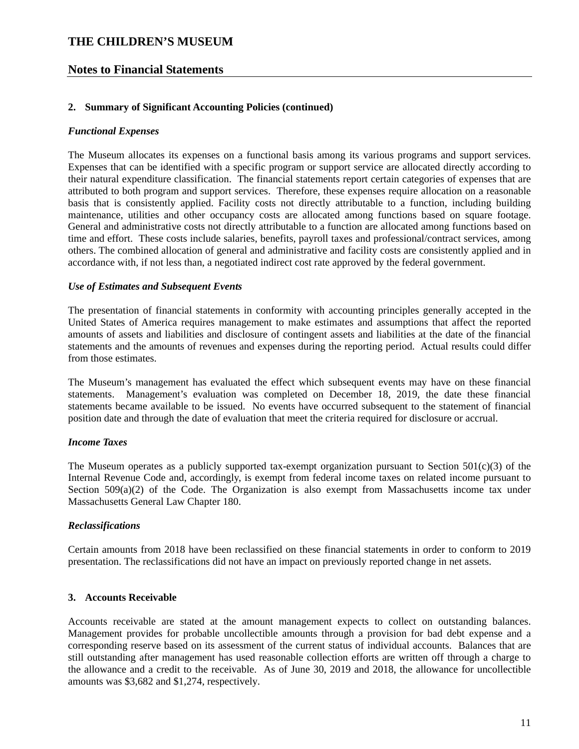### **Notes to Financial Statements**

#### **2. Summary of Significant Accounting Policies (continued)**

#### *Functional Expenses*

The Museum allocates its expenses on a functional basis among its various programs and support services. Expenses that can be identified with a specific program or support service are allocated directly according to their natural expenditure classification. The financial statements report certain categories of expenses that are attributed to both program and support services. Therefore, these expenses require allocation on a reasonable basis that is consistently applied. Facility costs not directly attributable to a function, including building maintenance, utilities and other occupancy costs are allocated among functions based on square footage. General and administrative costs not directly attributable to a function are allocated among functions based on time and effort. These costs include salaries, benefits, payroll taxes and professional/contract services, among others. The combined allocation of general and administrative and facility costs are consistently applied and in accordance with, if not less than, a negotiated indirect cost rate approved by the federal government.

#### *Use of Estimates and Subsequent Events*

The presentation of financial statements in conformity with accounting principles generally accepted in the United States of America requires management to make estimates and assumptions that affect the reported amounts of assets and liabilities and disclosure of contingent assets and liabilities at the date of the financial statements and the amounts of revenues and expenses during the reporting period. Actual results could differ from those estimates.

The Museum's management has evaluated the effect which subsequent events may have on these financial statements. Management's evaluation was completed on December 18, 2019, the date these financial statements became available to be issued. No events have occurred subsequent to the statement of financial position date and through the date of evaluation that meet the criteria required for disclosure or accrual.

#### *Income Taxes*

The Museum operates as a publicly supported tax-exempt organization pursuant to Section  $501(c)(3)$  of the Internal Revenue Code and, accordingly, is exempt from federal income taxes on related income pursuant to Section  $509(a)(2)$  of the Code. The Organization is also exempt from Massachusetts income tax under Massachusetts General Law Chapter 180.

#### *Reclassifications*

Certain amounts from 2018 have been reclassified on these financial statements in order to conform to 2019 presentation. The reclassifications did not have an impact on previously reported change in net assets.

#### **3. Accounts Receivable**

Accounts receivable are stated at the amount management expects to collect on outstanding balances. Management provides for probable uncollectible amounts through a provision for bad debt expense and a corresponding reserve based on its assessment of the current status of individual accounts. Balances that are still outstanding after management has used reasonable collection efforts are written off through a charge to the allowance and a credit to the receivable. As of June 30, 2019 and 2018, the allowance for uncollectible amounts was \$3,682 and \$1,274, respectively.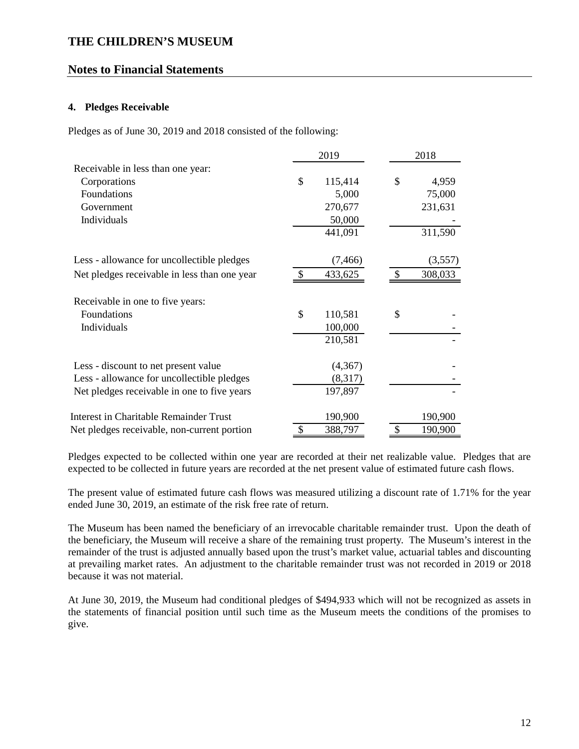### **Notes to Financial Statements**

### **4. Pledges Receivable**

Pledges as of June 30, 2019 and 2018 consisted of the following:

| 2019                                          |               |          | 2018          |
|-----------------------------------------------|---------------|----------|---------------|
| Receivable in less than one year:             |               |          |               |
| Corporations                                  | \$            | 115,414  | \$<br>4,959   |
| Foundations                                   |               | 5,000    | 75,000        |
| Government                                    |               | 270,677  | 231,631       |
| Individuals                                   |               | 50,000   |               |
|                                               |               | 441,091  | 311,590       |
| Less - allowance for uncollectible pledges    |               | (7, 466) | (3,557)       |
| Net pledges receivable in less than one year  | \$.           | 433,625  | 308,033       |
| Receivable in one to five years:              |               |          |               |
| Foundations                                   | $\mathcal{S}$ | 110,581  | \$            |
| Individuals                                   |               | 100,000  |               |
|                                               |               | 210,581  |               |
| Less - discount to net present value          |               | (4,367)  |               |
| Less - allowance for uncollectible pledges    |               | (8,317)  |               |
| Net pledges receivable in one to five years   |               | 197,897  |               |
| <b>Interest in Charitable Remainder Trust</b> |               | 190,900  | 190,900       |
| Net pledges receivable, non-current portion   | \$            | 388,797  | \$<br>190,900 |

Pledges expected to be collected within one year are recorded at their net realizable value. Pledges that are expected to be collected in future years are recorded at the net present value of estimated future cash flows.

The present value of estimated future cash flows was measured utilizing a discount rate of 1.71% for the year ended June 30, 2019, an estimate of the risk free rate of return.

The Museum has been named the beneficiary of an irrevocable charitable remainder trust. Upon the death of the beneficiary, the Museum will receive a share of the remaining trust property. The Museum's interest in the remainder of the trust is adjusted annually based upon the trust's market value, actuarial tables and discounting at prevailing market rates. An adjustment to the charitable remainder trust was not recorded in 2019 or 2018 because it was not material.

At June 30, 2019, the Museum had conditional pledges of \$494,933 which will not be recognized as assets in the statements of financial position until such time as the Museum meets the conditions of the promises to give.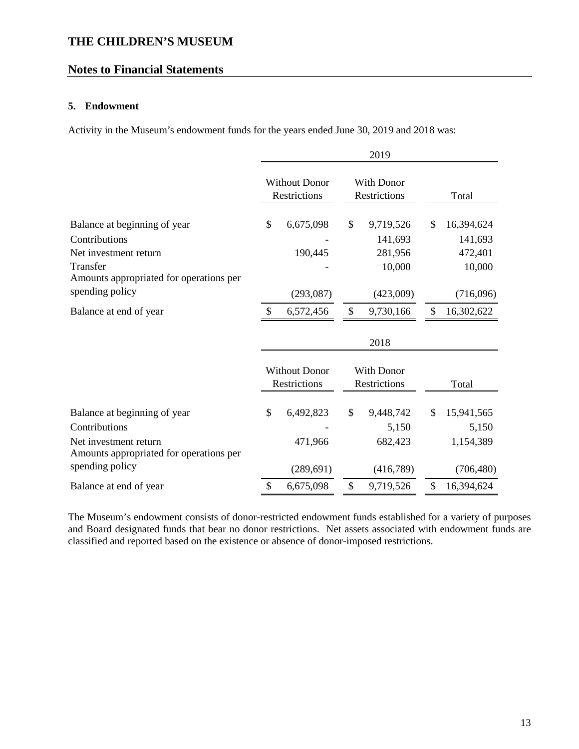# **Notes to Financial Statements**

### **5. Endowment**

Activity in the Museum's endowment funds for the years ended June 30, 2019 and 2018 was:

|                                                                  |               |                                      |                                   | 2019                |                  |  |
|------------------------------------------------------------------|---------------|--------------------------------------|-----------------------------------|---------------------|------------------|--|
|                                                                  |               | <b>Without Donor</b><br>Restrictions | <b>With Donor</b><br>Restrictions |                     | Total            |  |
| Balance at beginning of year                                     | \$            | 6,675,098                            | \$                                | 9,719,526           | \$<br>16,394,624 |  |
| Contributions                                                    |               |                                      |                                   | 141,693             | 141,693          |  |
| Net investment return                                            |               | 190,445                              |                                   | 281,956             | 472,401          |  |
| Transfer                                                         |               |                                      |                                   | 10,000              | 10,000           |  |
| Amounts appropriated for operations per                          |               |                                      |                                   |                     |                  |  |
| spending policy                                                  |               | (293,087)                            |                                   | (423,009)           | (716,096)        |  |
| Balance at end of year                                           |               | 6,572,456                            | \$                                | 9,730,166           | \$<br>16,302,622 |  |
|                                                                  |               |                                      |                                   | 2018                |                  |  |
|                                                                  |               | <b>Without Donor</b>                 |                                   | With Donor          |                  |  |
|                                                                  |               | <b>Restrictions</b>                  |                                   | <b>Restrictions</b> | Total            |  |
| Balance at beginning of year                                     | $\mathcal{S}$ | 6,492,823                            | \$                                | 9,448,742           | \$<br>15,941,565 |  |
| Contributions                                                    |               |                                      |                                   | 5,150               | 5,150            |  |
| Net investment return<br>Amounts appropriated for operations per |               | 471,966                              |                                   | 682,423             | 1,154,389        |  |
| spending policy                                                  |               | (289, 691)                           |                                   | (416,789)           | (706, 480)       |  |
| Balance at end of year                                           | \$            | 6,675,098                            | \$                                | 9,719,526           | \$<br>16,394,624 |  |

The Museum's endowment consists of donor-restricted endowment funds established for a variety of purposes and Board designated funds that bear no donor restrictions. Net assets associated with endowment funds are classified and reported based on the existence or absence of donor-imposed restrictions.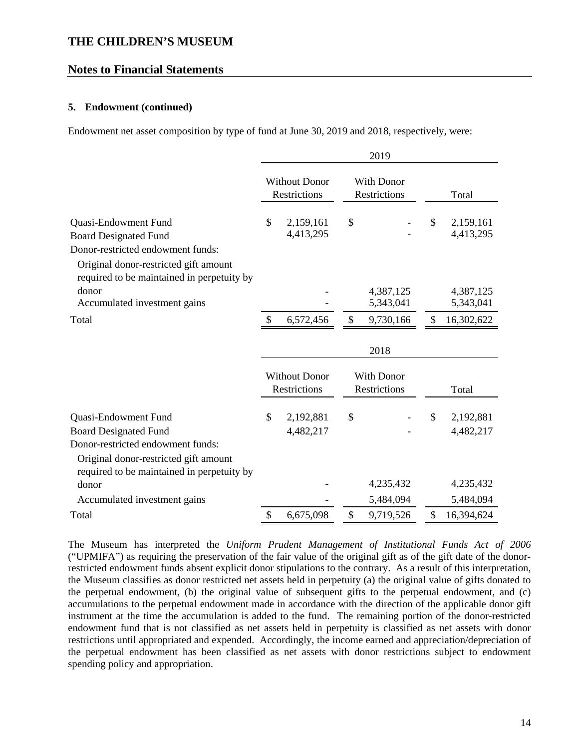### **Notes to Financial Statements**

#### **5. Endowment (continued)**

Endowment net asset composition by type of fund at June 30, 2019 and 2018, respectively, were:

|                                                                                                                                                                                  | 2019                                 |                                      |                                          |                                   |    |                        |  |
|----------------------------------------------------------------------------------------------------------------------------------------------------------------------------------|--------------------------------------|--------------------------------------|------------------------------------------|-----------------------------------|----|------------------------|--|
|                                                                                                                                                                                  | <b>Without Donor</b><br>Restrictions |                                      | <b>With Donor</b><br><b>Restrictions</b> |                                   |    | Total                  |  |
| Quasi-Endowment Fund<br><b>Board Designated Fund</b><br>Donor-restricted endowment funds:<br>Original donor-restricted gift amount<br>required to be maintained in perpetuity by | \$                                   | 2,159,161<br>4,413,295               | \$                                       |                                   | \$ | 2,159,161<br>4,413,295 |  |
| donor<br>Accumulated investment gains                                                                                                                                            |                                      |                                      |                                          | 4,387,125<br>5,343,041            |    | 4,387,125<br>5,343,041 |  |
| Total                                                                                                                                                                            | \$                                   | 6,572,456                            | \$                                       | 9,730,166                         | \$ | 16,302,622             |  |
|                                                                                                                                                                                  |                                      |                                      |                                          | 2018                              |    |                        |  |
|                                                                                                                                                                                  |                                      | <b>Without Donor</b><br>Restrictions |                                          | <b>With Donor</b><br>Restrictions |    | Total                  |  |
| Quasi-Endowment Fund<br><b>Board Designated Fund</b><br>Donor-restricted endowment funds:<br>Original donor-restricted gift amount                                               | \$                                   | 2,192,881<br>4,482,217               | \$                                       |                                   | \$ | 2,192,881<br>4,482,217 |  |
| required to be maintained in perpetuity by<br>donor                                                                                                                              |                                      |                                      |                                          | 4,235,432                         |    | 4,235,432              |  |
| Accumulated investment gains                                                                                                                                                     |                                      |                                      |                                          | 5,484,094                         |    | 5,484,094              |  |
| Total                                                                                                                                                                            | \$                                   | 6,675,098                            | \$                                       | 9,719,526                         | \$ | 16,394,624             |  |

The Museum has interpreted the *Uniform Prudent Management of Institutional Funds Act of 2006* ("UPMIFA") as requiring the preservation of the fair value of the original gift as of the gift date of the donorrestricted endowment funds absent explicit donor stipulations to the contrary. As a result of this interpretation, the Museum classifies as donor restricted net assets held in perpetuity (a) the original value of gifts donated to the perpetual endowment, (b) the original value of subsequent gifts to the perpetual endowment, and (c) accumulations to the perpetual endowment made in accordance with the direction of the applicable donor gift instrument at the time the accumulation is added to the fund. The remaining portion of the donor-restricted endowment fund that is not classified as net assets held in perpetuity is classified as net assets with donor restrictions until appropriated and expended. Accordingly, the income earned and appreciation/depreciation of the perpetual endowment has been classified as net assets with donor restrictions subject to endowment spending policy and appropriation.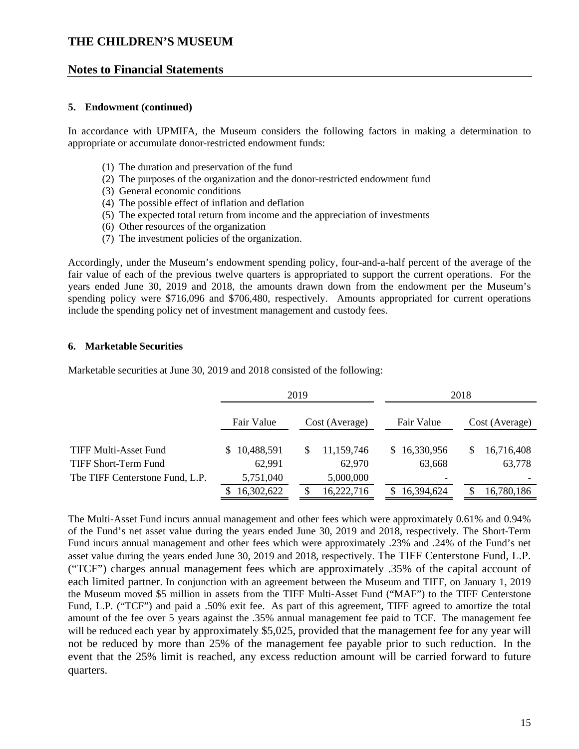### **Notes to Financial Statements**

#### **5. Endowment (continued)**

In accordance with UPMIFA, the Museum considers the following factors in making a determination to appropriate or accumulate donor-restricted endowment funds:

- (1) The duration and preservation of the fund
- (2) The purposes of the organization and the donor-restricted endowment fund
- (3) General economic conditions
- (4) The possible effect of inflation and deflation
- (5) The expected total return from income and the appreciation of investments
- (6) Other resources of the organization
- (7) The investment policies of the organization.

Accordingly, under the Museum's endowment spending policy, four-and-a-half percent of the average of the fair value of each of the previous twelve quarters is appropriated to support the current operations. For the years ended June 30, 2019 and 2018, the amounts drawn down from the endowment per the Museum's spending policy were \$716,096 and \$706,480, respectively. Amounts appropriated for current operations include the spending policy net of investment management and custody fees.

#### **6. Marketable Securities**

Marketable securities at June 30, 2019 and 2018 consisted of the following:

|                   |                 | 2018         |                  |  |  |
|-------------------|-----------------|--------------|------------------|--|--|
| Fair Value        | Cost (Average)  | Fair Value   | Cost (Average)   |  |  |
| 10,488,591<br>SS. | 11,159,746<br>S | \$16,330,956 | 16,716,408<br>\$ |  |  |
| 62,991            | 62,970          | 63,668       | 63,778           |  |  |
| 5,751,040         | 5,000,000       |              |                  |  |  |
| 16,302,622        | 16,222,716      | 16,394,624   | 16,780,186       |  |  |
|                   |                 | 2019         |                  |  |  |

The Multi-Asset Fund incurs annual management and other fees which were approximately 0.61% and 0.94% of the Fund's net asset value during the years ended June 30, 2019 and 2018, respectively. The Short-Term Fund incurs annual management and other fees which were approximately .23% and .24% of the Fund's net asset value during the years ended June 30, 2019 and 2018, respectively. The TIFF Centerstone Fund, L.P. ("TCF") charges annual management fees which are approximately .35% of the capital account of each limited partner. In conjunction with an agreement between the Museum and TIFF, on January 1, 2019 the Museum moved \$5 million in assets from the TIFF Multi-Asset Fund ("MAF") to the TIFF Centerstone Fund, L.P. ("TCF") and paid a .50% exit fee. As part of this agreement, TIFF agreed to amortize the total amount of the fee over 5 years against the .35% annual management fee paid to TCF. The management fee will be reduced each year by approximately \$5,025, provided that the management fee for any year will not be reduced by more than 25% of the management fee payable prior to such reduction. In the event that the 25% limit is reached, any excess reduction amount will be carried forward to future quarters.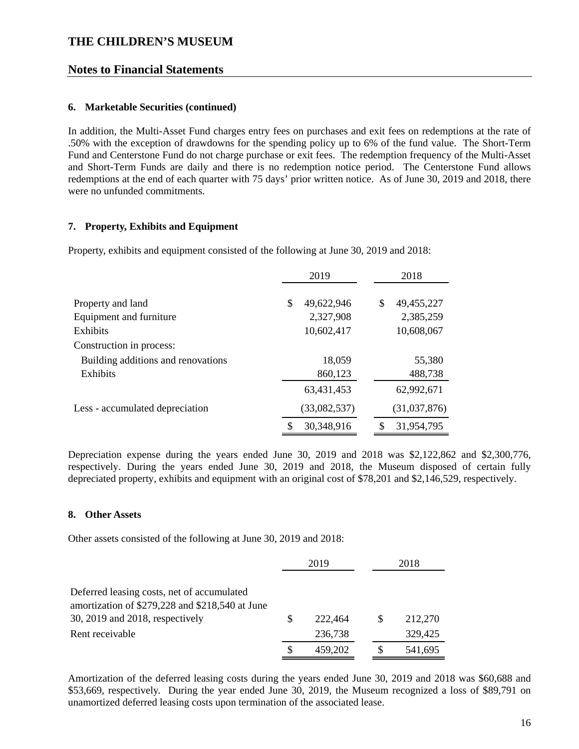### **Notes to Financial Statements**

#### **6. Marketable Securities (continued)**

In addition, the Multi-Asset Fund charges entry fees on purchases and exit fees on redemptions at the rate of .50% with the exception of drawdowns for the spending policy up to 6% of the fund value. The Short-Term Fund and Centerstone Fund do not charge purchase or exit fees. The redemption frequency of the Multi-Asset and Short-Term Funds are daily and there is no redemption notice period. The Centerstone Fund allows redemptions at the end of each quarter with 75 days' prior written notice. As of June 30, 2019 and 2018, there were no unfunded commitments.

### **7. Property, Exhibits and Equipment**

Property, exhibits and equipment consisted of the following at June 30, 2019 and 2018:

|                                    | 2019            | 2018             |
|------------------------------------|-----------------|------------------|
|                                    |                 |                  |
| Property and land                  | 49,622,946<br>S | \$<br>49,455,227 |
| Equipment and furniture            | 2,327,908       | 2,385,259        |
| <b>Exhibits</b>                    | 10,602,417      | 10,608,067       |
| Construction in process:           |                 |                  |
| Building additions and renovations | 18,059          | 55,380           |
| Exhibits                           | 860,123         | 488,738          |
|                                    | 63,431,453      | 62,992,671       |
| Less - accumulated depreciation    | (33,082,537)    | (31,037,876)     |
|                                    | 30,348,916      | S<br>31,954,795  |

Depreciation expense during the years ended June 30, 2019 and 2018 was \$2,122,862 and \$2,300,776, respectively. During the years ended June 30, 2019 and 2018, the Museum disposed of certain fully depreciated property, exhibits and equipment with an original cost of \$78,201 and \$2,146,529, respectively.

#### **8. Other Assets**

Other assets consisted of the following at June 30, 2019 and 2018:

|                                                                                                                                                     | 2019 |                    | 2018 |                    |
|-----------------------------------------------------------------------------------------------------------------------------------------------------|------|--------------------|------|--------------------|
| Deferred leasing costs, net of accumulated<br>amortization of \$279,228 and \$218,540 at June<br>30, 2019 and 2018, respectively<br>Rent receivable | S    | 222,464<br>236,738 | S    | 212,270<br>329,425 |
|                                                                                                                                                     |      | 459,202            |      | 541,695            |

Amortization of the deferred leasing costs during the years ended June 30, 2019 and 2018 was \$60,688 and \$53,669, respectively. During the year ended June 30, 2019, the Museum recognized a loss of \$89,791 on unamortized deferred leasing costs upon termination of the associated lease.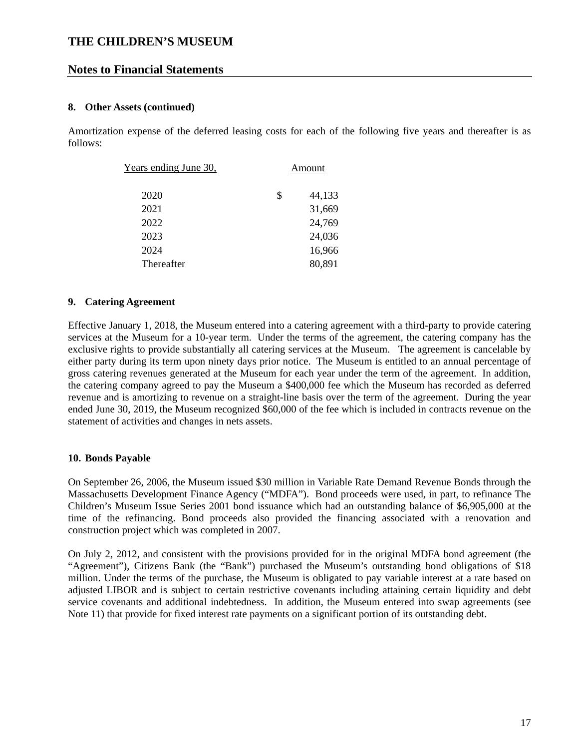### **Notes to Financial Statements**

### **8. Other Assets (continued)**

Amortization expense of the deferred leasing costs for each of the following five years and thereafter is as follows:

| Years ending June 30, | Amount       |
|-----------------------|--------------|
| 2020                  | \$<br>44,133 |
| 2021                  | 31,669       |
| 2022                  | 24,769       |
| 2023                  | 24,036       |
| 2024                  | 16,966       |
| Thereafter            | 80,891       |

### **9. Catering Agreement**

Effective January 1, 2018, the Museum entered into a catering agreement with a third-party to provide catering services at the Museum for a 10-year term. Under the terms of the agreement, the catering company has the exclusive rights to provide substantially all catering services at the Museum. The agreement is cancelable by either party during its term upon ninety days prior notice. The Museum is entitled to an annual percentage of gross catering revenues generated at the Museum for each year under the term of the agreement. In addition, the catering company agreed to pay the Museum a \$400,000 fee which the Museum has recorded as deferred revenue and is amortizing to revenue on a straight-line basis over the term of the agreement. During the year ended June 30, 2019, the Museum recognized \$60,000 of the fee which is included in contracts revenue on the statement of activities and changes in nets assets.

### **10. Bonds Payable**

On September 26, 2006, the Museum issued \$30 million in Variable Rate Demand Revenue Bonds through the Massachusetts Development Finance Agency ("MDFA"). Bond proceeds were used, in part, to refinance The Children's Museum Issue Series 2001 bond issuance which had an outstanding balance of \$6,905,000 at the time of the refinancing. Bond proceeds also provided the financing associated with a renovation and construction project which was completed in 2007.

On July 2, 2012, and consistent with the provisions provided for in the original MDFA bond agreement (the "Agreement"), Citizens Bank (the "Bank") purchased the Museum's outstanding bond obligations of \$18 million. Under the terms of the purchase, the Museum is obligated to pay variable interest at a rate based on adjusted LIBOR and is subject to certain restrictive covenants including attaining certain liquidity and debt service covenants and additional indebtedness. In addition, the Museum entered into swap agreements (see Note 11) that provide for fixed interest rate payments on a significant portion of its outstanding debt.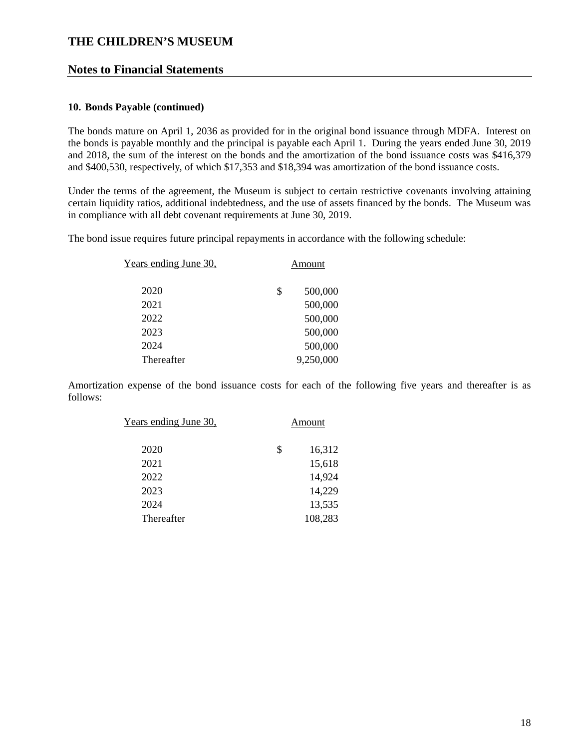### **Notes to Financial Statements**

#### **10. Bonds Payable (continued)**

The bonds mature on April 1, 2036 as provided for in the original bond issuance through MDFA. Interest on the bonds is payable monthly and the principal is payable each April 1. During the years ended June 30, 2019 and 2018, the sum of the interest on the bonds and the amortization of the bond issuance costs was \$416,379 and \$400,530, respectively, of which \$17,353 and \$18,394 was amortization of the bond issuance costs.

Under the terms of the agreement, the Museum is subject to certain restrictive covenants involving attaining certain liquidity ratios, additional indebtedness, and the use of assets financed by the bonds. The Museum was in compliance with all debt covenant requirements at June 30, 2019.

The bond issue requires future principal repayments in accordance with the following schedule:

| Years ending June 30, | Amount        |
|-----------------------|---------------|
| 2020                  | \$<br>500,000 |
| 2021                  | 500,000       |
| 2022                  | 500,000       |
| 2023                  | 500,000       |
| 2024                  | 500,000       |
| Thereafter            | 9,250,000     |
|                       |               |

Amortization expense of the bond issuance costs for each of the following five years and thereafter is as follows:

| <u>Years ending June 30,</u> | Amount       |
|------------------------------|--------------|
| 2020                         | \$<br>16,312 |
| 2021                         | 15,618       |
| 2022                         | 14,924       |
| 2023                         | 14,229       |
| 2024                         | 13,535       |
| Thereafter                   | 108,283      |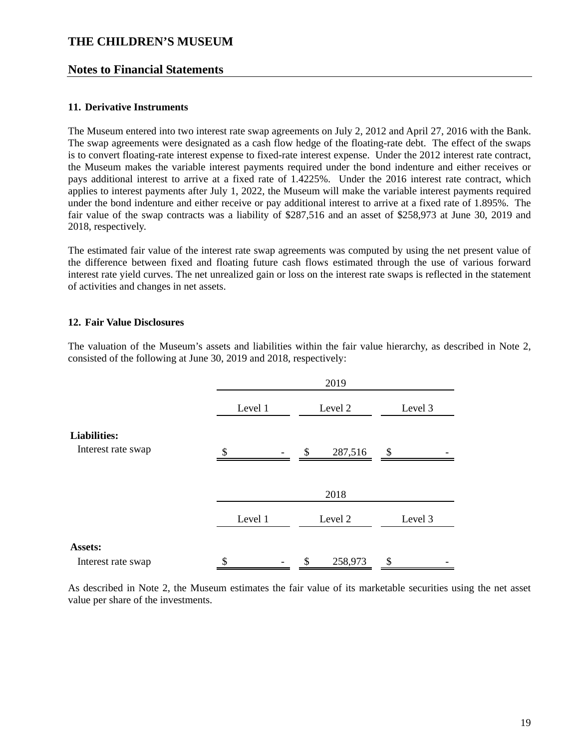### **Notes to Financial Statements**

#### **11. Derivative Instruments**

The Museum entered into two interest rate swap agreements on July 2, 2012 and April 27, 2016 with the Bank. The swap agreements were designated as a cash flow hedge of the floating-rate debt. The effect of the swaps is to convert floating-rate interest expense to fixed-rate interest expense. Under the 2012 interest rate contract, the Museum makes the variable interest payments required under the bond indenture and either receives or pays additional interest to arrive at a fixed rate of 1.4225%. Under the 2016 interest rate contract, which applies to interest payments after July 1, 2022, the Museum will make the variable interest payments required under the bond indenture and either receive or pay additional interest to arrive at a fixed rate of 1.895%. The fair value of the swap contracts was a liability of \$287,516 and an asset of \$258,973 at June 30, 2019 and 2018, respectively.

The estimated fair value of the interest rate swap agreements was computed by using the net present value of the difference between fixed and floating future cash flows estimated through the use of various forward interest rate yield curves. The net unrealized gain or loss on the interest rate swaps is reflected in the statement of activities and changes in net assets.

### **12. Fair Value Disclosures**

The valuation of the Museum's assets and liabilities within the fair value hierarchy, as described in Note 2, consisted of the following at June 30, 2019 and 2018, respectively:

|                                           |         | 2019          |         |  |  |  |  |  |  |
|-------------------------------------------|---------|---------------|---------|--|--|--|--|--|--|
|                                           | Level 1 | Level 2       | Level 3 |  |  |  |  |  |  |
| <b>Liabilities:</b><br>Interest rate swap | \$      | \$<br>287,516 | \$      |  |  |  |  |  |  |
|                                           |         | 2018          |         |  |  |  |  |  |  |
|                                           | Level 1 | Level 2       | Level 3 |  |  |  |  |  |  |
| Assets:<br>Interest rate swap             | \$      | 258,973<br>\$ | \$      |  |  |  |  |  |  |

As described in Note 2, the Museum estimates the fair value of its marketable securities using the net asset value per share of the investments.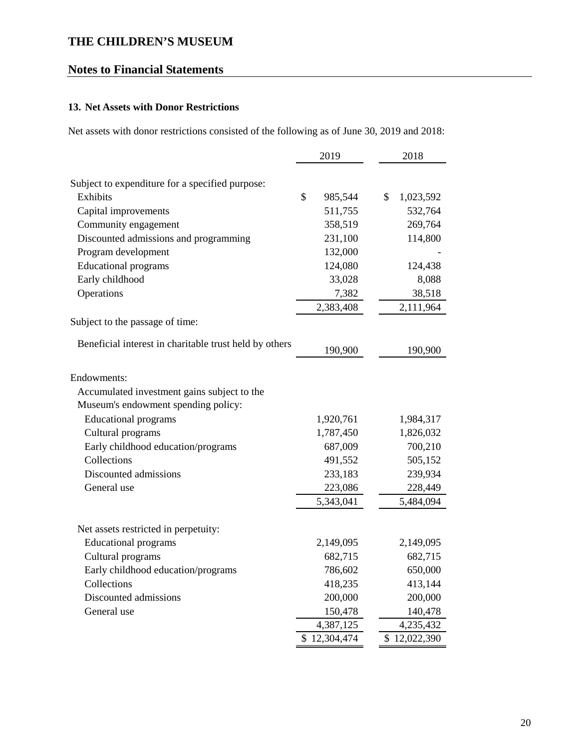# **Notes to Financial Statements**

# **13. Net Assets with Donor Restrictions**

Net assets with donor restrictions consisted of the following as of June 30, 2019 and 2018:

|                                                                     | 2019                 | 2018                 |
|---------------------------------------------------------------------|----------------------|----------------------|
|                                                                     |                      |                      |
| Subject to expenditure for a specified purpose:<br>Exhibits         | \$<br>985,544        | \$<br>1,023,592      |
| Capital improvements                                                | 511,755              | 532,764              |
|                                                                     | 358,519              |                      |
| Community engagement                                                |                      | 269,764              |
| Discounted admissions and programming                               | 231,100              | 114,800              |
| Program development                                                 | 132,000              |                      |
| <b>Educational programs</b>                                         | 124,080              | 124,438              |
| Early childhood                                                     | 33,028               | 8,088                |
| Operations                                                          | 7,382                | 38,518               |
|                                                                     | 2,383,408            | 2,111,964            |
| Subject to the passage of time:                                     |                      |                      |
| Beneficial interest in charitable trust held by others              | 190,900              | 190,900              |
| Endowments:                                                         |                      |                      |
| Accumulated investment gains subject to the                         |                      |                      |
| Museum's endowment spending policy:                                 |                      |                      |
| <b>Educational programs</b>                                         | 1,920,761            | 1,984,317            |
| Cultural programs                                                   | 1,787,450            | 1,826,032            |
| Early childhood education/programs                                  | 687,009              | 700,210              |
| Collections                                                         | 491,552              | 505,152              |
| Discounted admissions                                               | 233,183              | 239,934              |
| General use                                                         | 223,086              | 228,449              |
|                                                                     | 5,343,041            | 5,484,094            |
|                                                                     |                      |                      |
| Net assets restricted in perpetuity:<br><b>Educational programs</b> |                      |                      |
| Cultural programs                                                   | 2,149,095<br>682,715 | 2,149,095<br>682,715 |
|                                                                     |                      |                      |
| Early childhood education/programs<br>Collections                   | 786,602              | 650,000              |
| Discounted admissions                                               | 418,235<br>200,000   | 413,144              |
| General use                                                         |                      | 200,000<br>140,478   |
|                                                                     | 150,478<br>4,387,125 | 4,235,432            |
|                                                                     | \$12,304,474         | \$12,022,390         |
|                                                                     |                      |                      |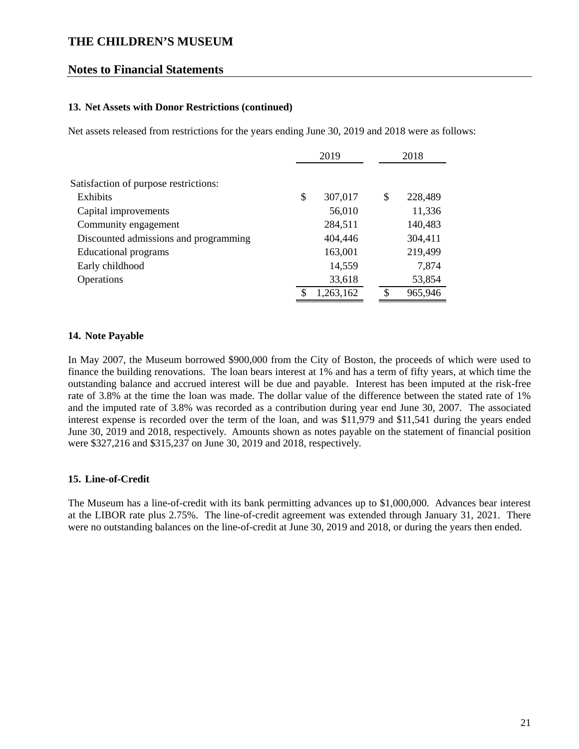### **Notes to Financial Statements**

#### **13. Net Assets with Donor Restrictions (continued)**

Net assets released from restrictions for the years ending June 30, 2019 and 2018 were as follows:

|                                       | 2019 |           | 2018          |
|---------------------------------------|------|-----------|---------------|
|                                       |      |           |               |
| Satisfaction of purpose restrictions: |      |           |               |
| Exhibits                              | \$   | 307,017   | \$<br>228,489 |
| Capital improvements                  |      | 56,010    | 11,336        |
| Community engagement                  |      | 284,511   | 140,483       |
| Discounted admissions and programming |      | 404,446   | 304,411       |
| Educational programs                  |      | 163,001   | 219,499       |
| Early childhood                       |      | 14,559    | 7,874         |
| Operations                            |      | 33,618    | 53,854        |
|                                       | \$   | 1,263,162 | \$<br>965,946 |

#### **14. Note Payable**

In May 2007, the Museum borrowed \$900,000 from the City of Boston, the proceeds of which were used to finance the building renovations. The loan bears interest at 1% and has a term of fifty years, at which time the outstanding balance and accrued interest will be due and payable. Interest has been imputed at the risk-free rate of 3.8% at the time the loan was made. The dollar value of the difference between the stated rate of 1% and the imputed rate of 3.8% was recorded as a contribution during year end June 30, 2007. The associated interest expense is recorded over the term of the loan, and was \$11,979 and \$11,541 during the years ended June 30, 2019 and 2018, respectively. Amounts shown as notes payable on the statement of financial position were \$327,216 and \$315,237 on June 30, 2019 and 2018, respectively.

#### **15. Line-of-Credit**

The Museum has a line-of-credit with its bank permitting advances up to \$1,000,000. Advances bear interest at the LIBOR rate plus 2.75%. The line-of-credit agreement was extended through January 31, 2021. There were no outstanding balances on the line-of-credit at June 30, 2019 and 2018, or during the years then ended.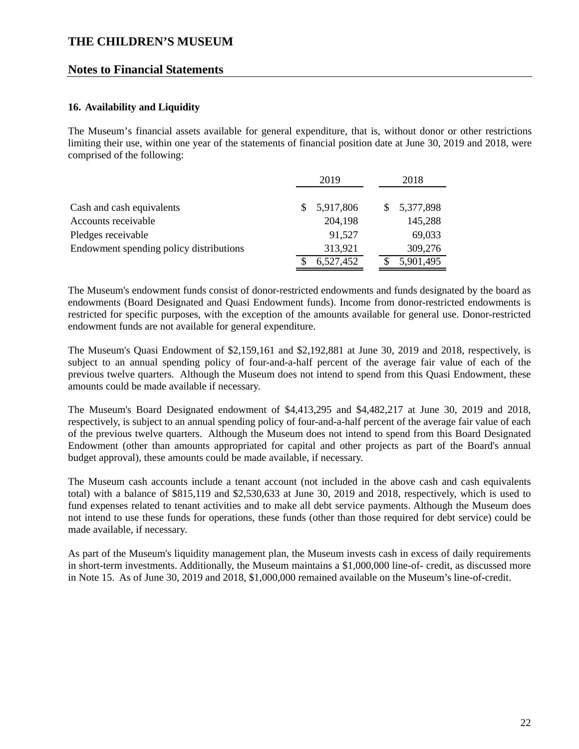### **Notes to Financial Statements**

#### **16. Availability and Liquidity**

The Museum's financial assets available for general expenditure, that is, without donor or other restrictions limiting their use, within one year of the statements of financial position date at June 30, 2019 and 2018, were comprised of the following:

|                                         |    | 2019      |  |  | 2018        |
|-----------------------------------------|----|-----------|--|--|-------------|
|                                         |    |           |  |  |             |
| Cash and cash equivalents               | S. | 5,917,806 |  |  | \$5,377,898 |
| Accounts receivable                     |    | 204,198   |  |  | 145,288     |
| Pledges receivable                      |    | 91,527    |  |  | 69,033      |
| Endowment spending policy distributions |    | 313,921   |  |  | 309,276     |
|                                         |    | 6,527,452 |  |  | 5,901,495   |

The Museum's endowment funds consist of donor-restricted endowments and funds designated by the board as endowments (Board Designated and Quasi Endowment funds). Income from donor-restricted endowments is restricted for specific purposes, with the exception of the amounts available for general use. Donor-restricted endowment funds are not available for general expenditure.

The Museum's Quasi Endowment of \$2,159,161 and \$2,192,881 at June 30, 2019 and 2018, respectively, is subject to an annual spending policy of four-and-a-half percent of the average fair value of each of the previous twelve quarters. Although the Museum does not intend to spend from this Quasi Endowment, these amounts could be made available if necessary.

The Museum's Board Designated endowment of \$4,413,295 and \$4,482,217 at June 30, 2019 and 2018, respectively, is subject to an annual spending policy of four-and-a-half percent of the average fair value of each of the previous twelve quarters. Although the Museum does not intend to spend from this Board Designated Endowment (other than amounts appropriated for capital and other projects as part of the Board's annual budget approval), these amounts could be made available, if necessary.

The Museum cash accounts include a tenant account (not included in the above cash and cash equivalents total) with a balance of \$815,119 and \$2,530,633 at June 30, 2019 and 2018, respectively, which is used to fund expenses related to tenant activities and to make all debt service payments. Although the Museum does not intend to use these funds for operations, these funds (other than those required for debt service) could be made available, if necessary.

As part of the Museum's liquidity management plan, the Museum invests cash in excess of daily requirements in short-term investments. Additionally, the Museum maintains a \$1,000,000 line-of- credit, as discussed more in Note 15. As of June 30, 2019 and 2018, \$1,000,000 remained available on the Museum's line-of-credit.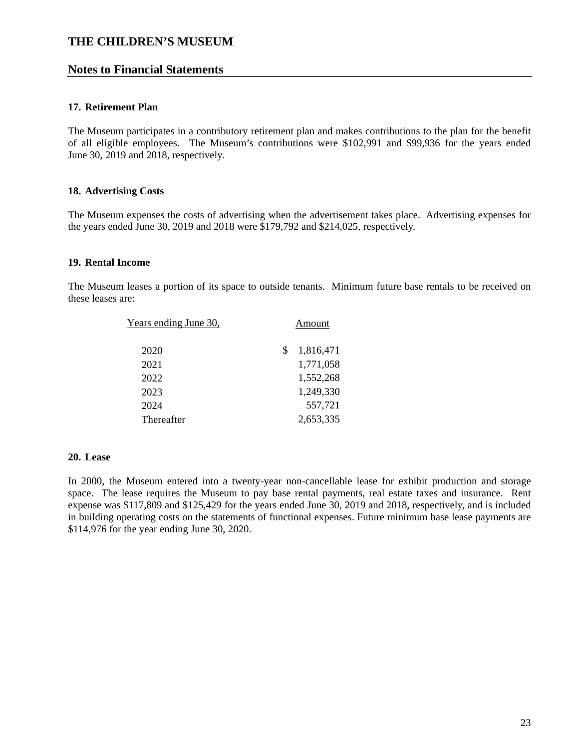### **Notes to Financial Statements**

#### **17. Retirement Plan**

The Museum participates in a contributory retirement plan and makes contributions to the plan for the benefit of all eligible employees. The Museum's contributions were \$102,991 and \$99,936 for the years ended June 30, 2019 and 2018, respectively.

#### **18. Advertising Costs**

The Museum expenses the costs of advertising when the advertisement takes place. Advertising expenses for the years ended June 30, 2019 and 2018 were \$179,792 and \$214,025, respectively.

#### **19. Rental Income**

The Museum leases a portion of its space to outside tenants. Minimum future base rentals to be received on these leases are:

| <u>Years ending June 30.</u> |   | Amount    |
|------------------------------|---|-----------|
| 2020                         | S | 1,816,471 |
| 2021                         |   | 1,771,058 |
| 2022                         |   | 1,552,268 |
| 2023                         |   | 1,249,330 |
| 2024                         |   | 557,721   |
| Thereafter                   |   | 2,653,335 |

#### **20. Lease**

In 2000, the Museum entered into a twenty-year non-cancellable lease for exhibit production and storage space. The lease requires the Museum to pay base rental payments, real estate taxes and insurance. Rent expense was \$117,809 and \$125,429 for the years ended June 30, 2019 and 2018, respectively, and is included in building operating costs on the statements of functional expenses. Future minimum base lease payments are \$114,976 for the year ending June 30, 2020.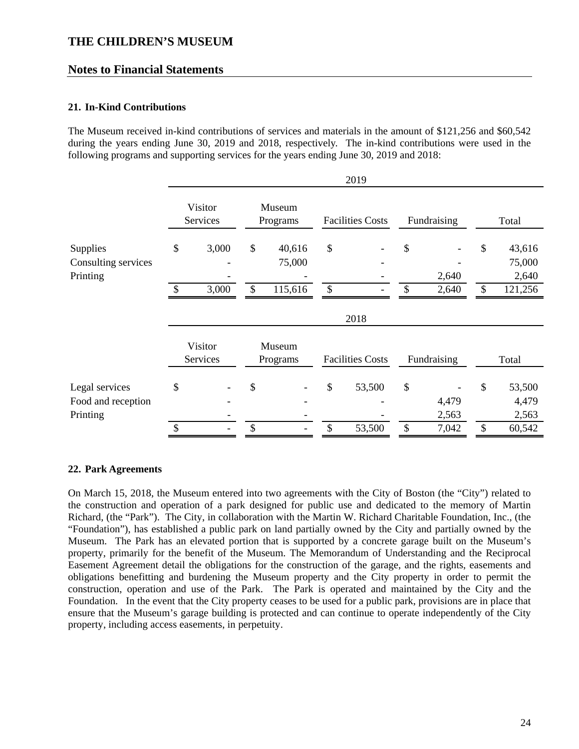### **Notes to Financial Statements**

### **21. In-Kind Contributions**

The Museum received in-kind contributions of services and materials in the amount of \$121,256 and \$60,542 during the years ending June 30, 2019 and 2018, respectively. The in-kind contributions were used in the following programs and supporting services for the years ending June 30, 2019 and 2018:

|                                                  |                     |                     |          |                             |          | 2019                    |               |                |                     |                                      |
|--------------------------------------------------|---------------------|---------------------|----------|-----------------------------|----------|-------------------------|---------------|----------------|---------------------|--------------------------------------|
|                                                  |                     | Visitor<br>Services |          | Museum<br>Programs          |          | <b>Facilities Costs</b> |               | Fundraising    |                     | Total                                |
| Supplies<br>Consulting services<br>Printing      | \$<br>$\mathcal{S}$ | 3,000<br>3,000      | \$<br>\$ | 40,616<br>75,000<br>115,616 | \$<br>\$ |                         | \$<br>\$      | 2,640<br>2,640 | \$<br>$\mathcal{S}$ | 43,616<br>75,000<br>2,640<br>121,256 |
|                                                  |                     |                     |          |                             |          | 2018                    |               |                |                     |                                      |
|                                                  |                     | Visitor<br>Services |          | Museum<br>Programs          |          | <b>Facilities Costs</b> |               | Fundraising    |                     | Total                                |
| Legal services<br>Food and reception<br>Printing | \$                  |                     | \$       |                             | \$       | 53,500                  | $\mathcal{S}$ | 4,479<br>2,563 | \$                  | 53,500<br>4,479<br>2,563             |
|                                                  | $\mathcal{S}$       |                     | \$       |                             | \$       | 53,500                  | \$            | 7,042          | \$                  | 60,542                               |

#### **22. Park Agreements**

On March 15, 2018, the Museum entered into two agreements with the City of Boston (the "City") related to the construction and operation of a park designed for public use and dedicated to the memory of Martin Richard, (the "Park"). The City, in collaboration with the Martin W. Richard Charitable Foundation, Inc., (the "Foundation"), has established a public park on land partially owned by the City and partially owned by the Museum. The Park has an elevated portion that is supported by a concrete garage built on the Museum's property, primarily for the benefit of the Museum. The Memorandum of Understanding and the Reciprocal Easement Agreement detail the obligations for the construction of the garage, and the rights, easements and obligations benefitting and burdening the Museum property and the City property in order to permit the construction, operation and use of the Park. The Park is operated and maintained by the City and the Foundation. In the event that the City property ceases to be used for a public park, provisions are in place that ensure that the Museum's garage building is protected and can continue to operate independently of the City property, including access easements, in perpetuity.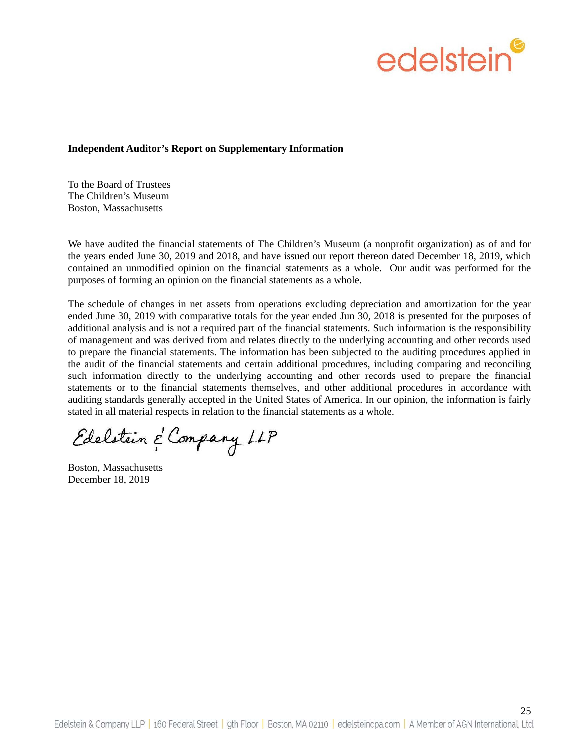

#### **Independent Auditor's Report on Supplementary Information**

To the Board of Trustees The Children's Museum Boston, Massachusetts

We have audited the financial statements of The Children's Museum (a nonprofit organization) as of and for the years ended June 30, 2019 and 2018, and have issued our report thereon dated December 18, 2019, which contained an unmodified opinion on the financial statements as a whole. Our audit was performed for the purposes of forming an opinion on the financial statements as a whole.

The schedule of changes in net assets from operations excluding depreciation and amortization for the year ended June 30, 2019 with comparative totals for the year ended Jun 30, 2018 is presented for the purposes of additional analysis and is not a required part of the financial statements. Such information is the responsibility of management and was derived from and relates directly to the underlying accounting and other records used to prepare the financial statements. The information has been subjected to the auditing procedures applied in the audit of the financial statements and certain additional procedures, including comparing and reconciling such information directly to the underlying accounting and other records used to prepare the financial statements or to the financial statements themselves, and other additional procedures in accordance with auditing standards generally accepted in the United States of America. In our opinion, the information is fairly stated in all material respects in relation to the financial statements as a whole.

Edelstein & Company LLP

Boston, Massachusetts December 18, 2019